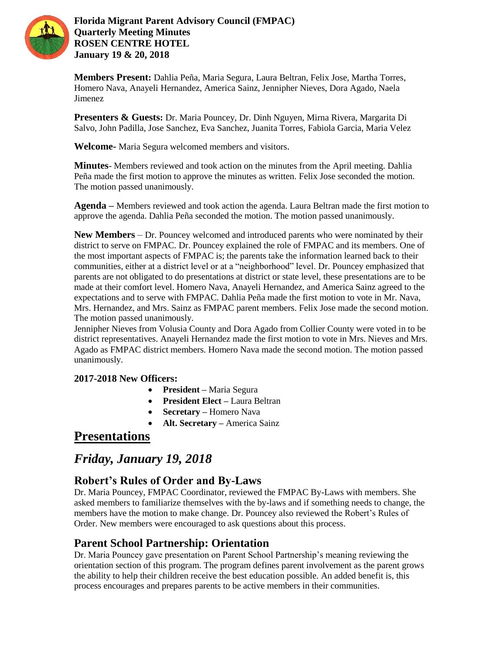

**Florida Migrant Parent Advisory Council (FMPAC) Quarterly Meeting Minutes ROSEN CENTRE HOTEL January 19 & 20, 2018**

**Members Present:** Dahlia Peña, Maria Segura, Laura Beltran, Felix Jose, Martha Torres, Homero Nava, Anayeli Hernandez, America Sainz, Jennipher Nieves, Dora Agado, Naela Jimenez

**Presenters & Guests:** Dr. Maria Pouncey, Dr. Dinh Nguyen, Mirna Rivera, Margarita Di Salvo, John Padilla, Jose Sanchez, Eva Sanchez, Juanita Torres, Fabiola Garcia, Maria Velez

**Welcome-** Maria Segura welcomed members and visitors.

**Minutes**- Members reviewed and took action on the minutes from the April meeting. Dahlia Peña made the first motion to approve the minutes as written. Felix Jose seconded the motion. The motion passed unanimously.

**Agenda –** Members reviewed and took action the agenda. Laura Beltran made the first motion to approve the agenda. Dahlia Peña seconded the motion. The motion passed unanimously.

**New Members** – Dr. Pouncey welcomed and introduced parents who were nominated by their district to serve on FMPAC. Dr. Pouncey explained the role of FMPAC and its members. One of the most important aspects of FMPAC is; the parents take the information learned back to their communities, either at a district level or at a "neighborhood" level. Dr. Pouncey emphasized that parents are not obligated to do presentations at district or state level, these presentations are to be made at their comfort level. Homero Nava, Anayeli Hernandez, and America Sainz agreed to the expectations and to serve with FMPAC. Dahlia Peña made the first motion to vote in Mr. Nava, Mrs. Hernandez, and Mrs. Sainz as FMPAC parent members. Felix Jose made the second motion. The motion passed unanimously.

Jennipher Nieves from Volusia County and Dora Agado from Collier County were voted in to be district representatives. Anayeli Hernandez made the first motion to vote in Mrs. Nieves and Mrs. Agado as FMPAC district members. Homero Nava made the second motion. The motion passed unanimously.

#### **2017-2018 New Officers:**

- **President –** Maria Segura
- **President Elect –** Laura Beltran
- **Secretary –** Homero Nava
- **Alt. Secretary –** America Sainz

# **Presentations**

# *Friday, January 19, 2018*

# **Robert's Rules of Order and By-Laws**

Dr. Maria Pouncey, FMPAC Coordinator, reviewed the FMPAC By-Laws with members. She asked members to familiarize themselves with the by-laws and if something needs to change, the members have the motion to make change. Dr. Pouncey also reviewed the Robert's Rules of Order. New members were encouraged to ask questions about this process.

### **Parent School Partnership: Orientation**

Dr. Maria Pouncey gave presentation on Parent School Partnership's meaning reviewing the orientation section of this program. The program defines parent involvement as the parent grows the ability to help their children receive the best education possible. An added benefit is, this process encourages and prepares parents to be active members in their communities.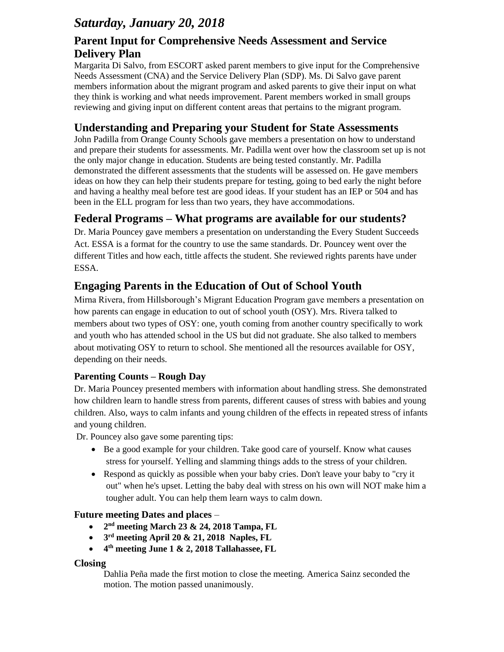# *Saturday, January 20, 2018*

# **Parent Input for Comprehensive Needs Assessment and Service Delivery Plan**

Margarita Di Salvo, from ESCORT asked parent members to give input for the Comprehensive Needs Assessment (CNA) and the Service Delivery Plan (SDP). Ms. Di Salvo gave parent members information about the migrant program and asked parents to give their input on what they think is working and what needs improvement. Parent members worked in small groups reviewing and giving input on different content areas that pertains to the migrant program.

# **Understanding and Preparing your Student for State Assessments**

John Padilla from Orange County Schools gave members a presentation on how to understand and prepare their students for assessments. Mr. Padilla went over how the classroom set up is not the only major change in education. Students are being tested constantly. Mr. Padilla demonstrated the different assessments that the students will be assessed on. He gave members ideas on how they can help their students prepare for testing, going to bed early the night before and having a healthy meal before test are good ideas. If your student has an IEP or 504 and has been in the ELL program for less than two years, they have accommodations.

# **Federal Programs – What programs are available for our students?**

Dr. Maria Pouncey gave members a presentation on understanding the Every Student Succeeds Act. ESSA is a format for the country to use the same standards. Dr. Pouncey went over the different Titles and how each, tittle affects the student. She reviewed rights parents have under ESSA.

# **Engaging Parents in the Education of Out of School Youth**

Mirna Rivera, from Hillsborough's Migrant Education Program gave members a presentation on how parents can engage in education to out of school youth (OSY). Mrs. Rivera talked to members about two types of OSY: one, youth coming from another country specifically to work and youth who has attended school in the US but did not graduate. She also talked to members about motivating OSY to return to school. She mentioned all the resources available for OSY, depending on their needs.

### **Parenting Counts – Rough Day**

Dr. Maria Pouncey presented members with information about handling stress. She demonstrated how children learn to handle stress from parents, different causes of stress with babies and young children. Also, ways to calm infants and young children of the effects in repeated stress of infants and young children.

Dr. Pouncey also gave some parenting tips:

- Be a good example for your children. Take good care of yourself. Know what causes stress for yourself. Yelling and slamming things adds to the stress of your children.
- Respond as quickly as possible when your baby cries. Don't leave your baby to "cry it out" when he's upset. Letting the baby deal with stress on his own will NOT make him a tougher adult. You can help them learn ways to calm down.

### **Future meeting Dates and places** –

- **2 nd meeting March 23 & 24, 2018 Tampa, FL**
- **3 rd meeting April 20 & 21, 2018 Naples, FL**
- **4 th meeting June 1 & 2, 2018 Tallahassee, FL**

#### **Closing**

Dahlia Peña made the first motion to close the meeting. America Sainz seconded the motion. The motion passed unanimously.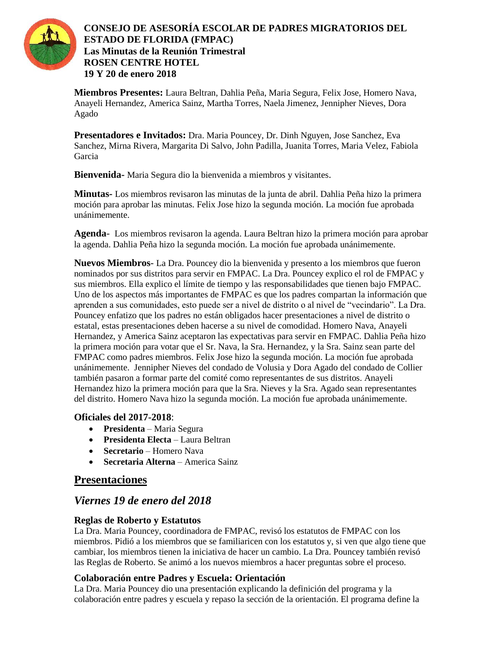

### **CONSEJO DE ASESORÍA ESCOLAR DE PADRES MIGRATORIOS DEL ESTADO DE FLORIDA (FMPAC) Las Minutas de la Reunión Trimestral ROSEN CENTRE HOTEL 19 Y 20 de enero 2018**

**Miembros Presentes:** Laura Beltran, Dahlia Peña, Maria Segura, Felix Jose, Homero Nava, Anayeli Hernandez, America Sainz, Martha Torres, Naela Jimenez, Jennipher Nieves, Dora Agado

**Presentadores e Invitados:** Dra. Maria Pouncey, Dr. Dinh Nguyen, Jose Sanchez, Eva Sanchez, Mirna Rivera, Margarita Di Salvo, John Padilla, Juanita Torres, Maria Velez, Fabiola Garcia

**Bienvenida-** Maria Segura dio la bienvenida a miembros y visitantes.

**Minutas-** Los miembros revisaron las minutas de la junta de abril. Dahlia Peña hizo la primera moción para aprobar las minutas. Felix Jose hizo la segunda moción. La moción fue aprobada unánimemente.

**Agenda**- Los miembros revisaron la agenda. Laura Beltran hizo la primera moción para aprobar la agenda. Dahlia Peña hizo la segunda moción. La moción fue aprobada unánimemente.

**Nuevos Miembros**- La Dra. Pouncey dio la bienvenida y presento a los miembros que fueron nominados por sus distritos para servir en FMPAC. La Dra. Pouncey explico el rol de FMPAC y sus miembros. Ella explico el límite de tiempo y las responsabilidades que tienen bajo FMPAC. Uno de los aspectos más importantes de FMPAC es que los padres compartan la información que aprenden a sus comunidades, esto puede ser a nivel de distrito o al nivel de "vecindario". La Dra. Pouncey enfatizo que los padres no están obligados hacer presentaciones a nivel de distrito o estatal, estas presentaciones deben hacerse a su nivel de comodidad. Homero Nava, Anayeli Hernandez, y America Sainz aceptaron las expectativas para servir en FMPAC. Dahlia Peña hizo la primera moción para votar que el Sr. Nava, la Sra. Hernandez, y la Sra. Sainz sean parte del FMPAC como padres miembros. Felix Jose hizo la segunda moción. La moción fue aprobada unánimemente. Jennipher Nieves del condado de Volusia y Dora Agado del condado de Collier también pasaron a formar parte del comité como representantes de sus distritos. Anayeli Hernandez hizo la primera moción para que la Sra. Nieves y la Sra. Agado sean representantes del distrito. Homero Nava hizo la segunda moción. La moción fue aprobada unánimemente.

#### **Oficiales del 2017-2018**:

- **Presidenta** Maria Segura
- **Presidenta Electa** Laura Beltran
- **Secretario** Homero Nava
- **Secretaria Alterna** America Sainz

### **Presentaciones**

### *Viernes 19 de enero del 2018*

#### **Reglas de Roberto y Estatutos**

La Dra. Maria Pouncey, coordinadora de FMPAC, revisó los estatutos de FMPAC con los miembros. Pidió a los miembros que se familiaricen con los estatutos y, si ven que algo tiene que cambiar, los miembros tienen la iniciativa de hacer un cambio. La Dra. Pouncey también revisó las Reglas de Roberto. Se animó a los nuevos miembros a hacer preguntas sobre el proceso.

#### **Colaboración entre Padres y Escuela: Orientación**

La Dra. Maria Pouncey dio una presentación explicando la definición del programa y la colaboración entre padres y escuela y repaso la sección de la orientación. El programa define la